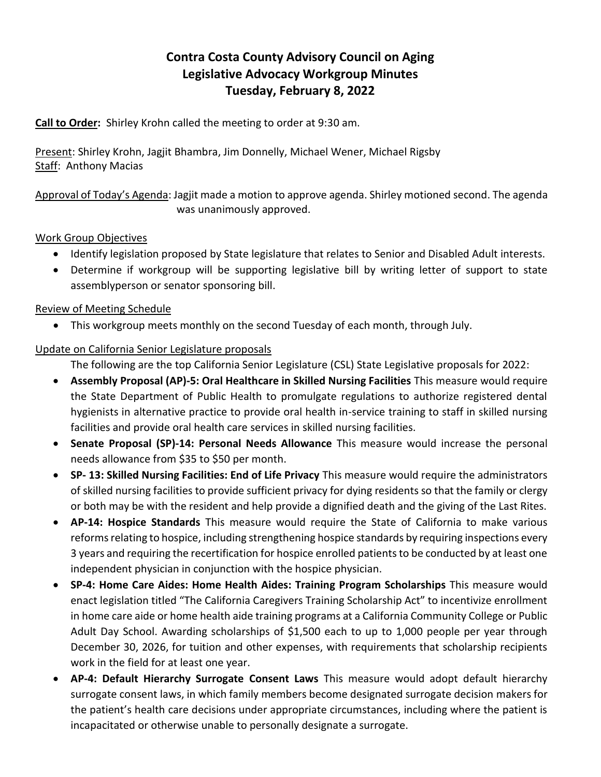# **Contra Costa County Advisory Council on Aging Legislative Advocacy Workgroup Minutes Tuesday, February 8, 2022**

**Call to Order:** Shirley Krohn called the meeting to order at 9:30 am.

Present: Shirley Krohn, Jagjit Bhambra, Jim Donnelly, Michael Wener, Michael Rigsby Staff: Anthony Macias

Approval of Today's Agenda: Jagjit made a motion to approve agenda. Shirley motioned second. The agenda was unanimously approved.

### Work Group Objectives

- Identify legislation proposed by State legislature that relates to Senior and Disabled Adult interests.
- Determine if workgroup will be supporting legislative bill by writing letter of support to state assemblyperson or senator sponsoring bill.

#### Review of Meeting Schedule

This workgroup meets monthly on the second Tuesday of each month, through July.

#### Update on California Senior Legislature proposals

The following are the top California Senior Legislature (CSL) State Legislative proposals for 2022:

- **Assembly Proposal (AP)-5: Oral Healthcare in Skilled Nursing Facilities** This measure would require the State Department of Public Health to promulgate regulations to authorize registered dental hygienists in alternative practice to provide oral health in-service training to staff in skilled nursing facilities and provide oral health care services in skilled nursing facilities.
- **Senate Proposal (SP)-14: Personal Needs Allowance** This measure would increase the personal needs allowance from \$35 to \$50 per month.
- **SP- 13: Skilled Nursing Facilities: End of Life Privacy** This measure would require the administrators of skilled nursing facilities to provide sufficient privacy for dying residents so that the family or clergy or both may be with the resident and help provide a dignified death and the giving of the Last Rites.
- **AP-14: Hospice Standards** This measure would require the State of California to make various reforms relating to hospice, including strengthening hospice standards by requiring inspections every 3 years and requiring the recertification for hospice enrolled patients to be conducted by at least one independent physician in conjunction with the hospice physician.
- **SP-4: Home Care Aides: Home Health Aides: Training Program Scholarships** This measure would enact legislation titled "The California Caregivers Training Scholarship Act" to incentivize enrollment in home care aide or home health aide training programs at a California Community College or Public Adult Day School. Awarding scholarships of \$1,500 each to up to 1,000 people per year through December 30, 2026, for tuition and other expenses, with requirements that scholarship recipients work in the field for at least one year.
- **AP-4: Default Hierarchy Surrogate Consent Laws** This measure would adopt default hierarchy surrogate consent laws, in which family members become designated surrogate decision makers for the patient's health care decisions under appropriate circumstances, including where the patient is incapacitated or otherwise unable to personally designate a surrogate.